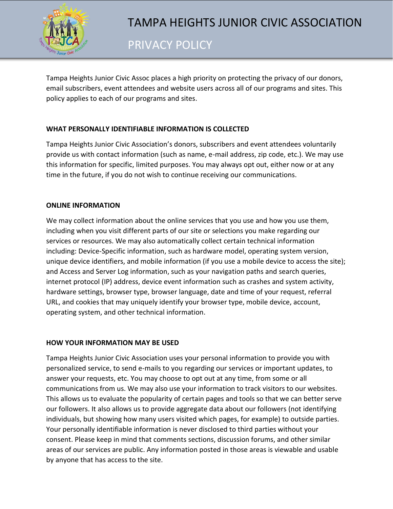

Tampa Heights Junior Civic Assoc places a high priority on protecting the privacy of our donors, email subscribers, event attendees and website users across all of our programs and sites. This policy applies to each of our programs and sites.

# **WHAT PERSONALLY IDENTIFIABLE INFORMATION IS COLLECTED**

Tampa Heights Junior Civic Association's donors, subscribers and event attendees voluntarily provide us with contact information (such as name, e-mail address, zip code, etc.). We may use this information for specific, limited purposes. You may always opt out, either now or at any time in the future, if you do not wish to continue receiving our communications.

## **ONLINE INFORMATION**

We may collect information about the online services that you use and how you use them, including when you visit different parts of our site or selections you make regarding our services or resources. We may also automatically collect certain technical information including: Device-Specific information, such as hardware model, operating system version, unique device identifiers, and mobile information (if you use a mobile device to access the site); and Access and Server Log information, such as your navigation paths and search queries, internet protocol (IP) address, device event information such as crashes and system activity, hardware settings, browser type, browser language, date and time of your request, referral URL, and cookies that may uniquely identify your browser type, mobile device, account, operating system, and other technical information.

## **HOW YOUR INFORMATION MAY BE USED**

Tampa Heights Junior Civic Association uses your personal information to provide you with personalized service, to send e-mails to you regarding our services or important updates, to answer your requests, etc. You may choose to opt out at any time, from some or all communications from us. We may also use your information to track visitors to our websites. This allows us to evaluate the popularity of certain pages and tools so that we can better serve our followers. It also allows us to provide aggregate data about our followers (not identifying individuals, but showing how many users visited which pages, for example) to outside parties. Your personally identifiable information is never disclosed to third parties without your consent. Please keep in mind that comments sections, discussion forums, and other similar areas of our services are public. Any information posted in those areas is viewable and usable by anyone that has access to the site.